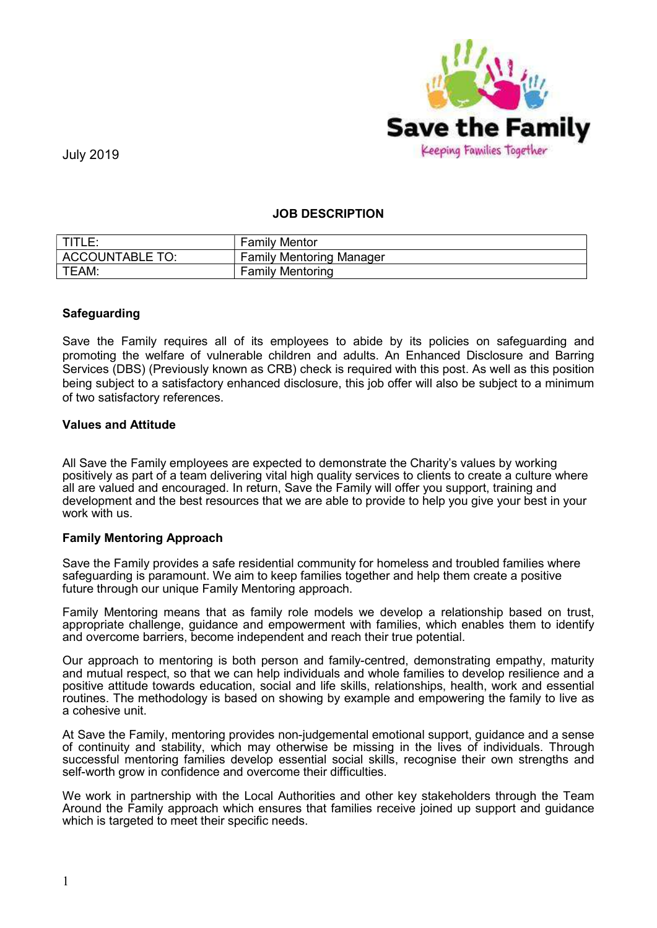

## JOB DESCRIPTION

| TITLE:          | <b>Family Mentor</b>            |
|-----------------|---------------------------------|
| ACCOUNTABLE TO: | <b>Family Mentoring Manager</b> |
| TEAM:           | <b>Family Mentoring</b>         |

# Safeguarding

Save the Family requires all of its employees to abide by its policies on safeguarding and promoting the welfare of vulnerable children and adults. An Enhanced Disclosure and Barring Services (DBS) (Previously known as CRB) check is required with this post. As well as this position being subject to a satisfactory enhanced disclosure, this job offer will also be subject to a minimum of two satisfactory references.

### Values and Attitude

All Save the Family employees are expected to demonstrate the Charity's values by working positively as part of a team delivering vital high quality services to clients to create a culture where all are valued and encouraged. In return, Save the Family will offer you support, training and development and the best resources that we are able to provide to help you give your best in your work with us.

### Family Mentoring Approach

Save the Family provides a safe residential community for homeless and troubled families where safeguarding is paramount. We aim to keep families together and help them create a positive future through our unique Family Mentoring approach.

Family Mentoring means that as family role models we develop a relationship based on trust, appropriate challenge, guidance and empowerment with families, which enables them to identify and overcome barriers, become independent and reach their true potential.

Our approach to mentoring is both person and family-centred, demonstrating empathy, maturity and mutual respect, so that we can help individuals and whole families to develop resilience and a positive attitude towards education, social and life skills, relationships, health, work and essential routines. The methodology is based on showing by example and empowering the family to live as a cohesive unit.

At Save the Family, mentoring provides non-judgemental emotional support, guidance and a sense of continuity and stability, which may otherwise be missing in the lives of individuals. Through successful mentoring families develop essential social skills, recognise their own strengths and self-worth grow in confidence and overcome their difficulties.

We work in partnership with the Local Authorities and other key stakeholders through the Team Around the Family approach which ensures that families receive joined up support and guidance which is targeted to meet their specific needs.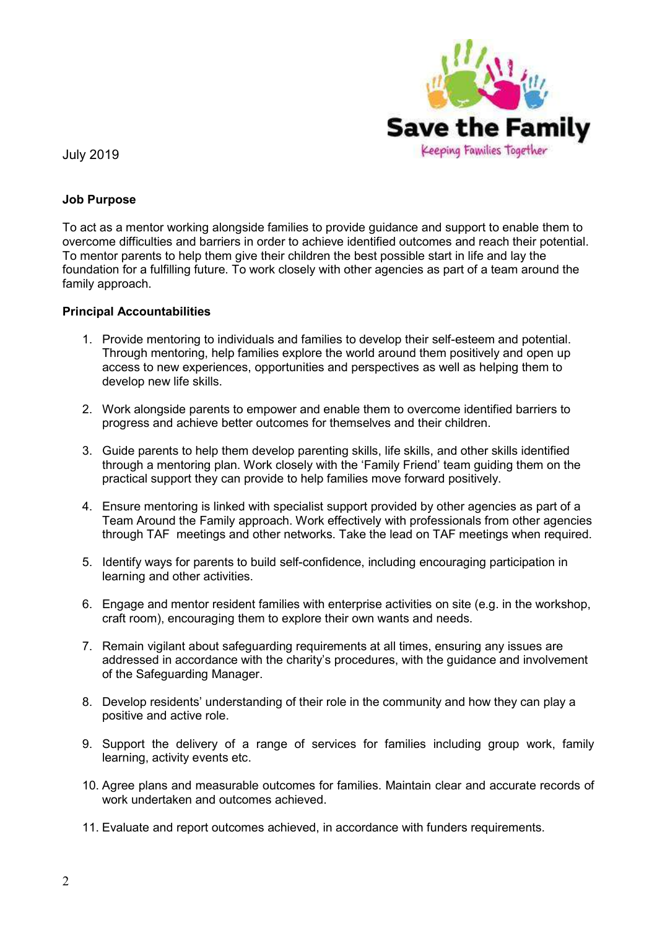

# Job Purpose

To act as a mentor working alongside families to provide guidance and support to enable them to overcome difficulties and barriers in order to achieve identified outcomes and reach their potential. To mentor parents to help them give their children the best possible start in life and lay the foundation for a fulfilling future. To work closely with other agencies as part of a team around the family approach.

### Principal Accountabilities

- 1. Provide mentoring to individuals and families to develop their self-esteem and potential. Through mentoring, help families explore the world around them positively and open up access to new experiences, opportunities and perspectives as well as helping them to develop new life skills.
- 2. Work alongside parents to empower and enable them to overcome identified barriers to progress and achieve better outcomes for themselves and their children.
- 3. Guide parents to help them develop parenting skills, life skills, and other skills identified through a mentoring plan. Work closely with the 'Family Friend' team guiding them on the practical support they can provide to help families move forward positively.
- 4. Ensure mentoring is linked with specialist support provided by other agencies as part of a Team Around the Family approach. Work effectively with professionals from other agencies through TAF meetings and other networks. Take the lead on TAF meetings when required.
- 5. Identify ways for parents to build self-confidence, including encouraging participation in learning and other activities.
- 6. Engage and mentor resident families with enterprise activities on site (e.g. in the workshop, craft room), encouraging them to explore their own wants and needs.
- 7. Remain vigilant about safeguarding requirements at all times, ensuring any issues are addressed in accordance with the charity's procedures, with the guidance and involvement of the Safeguarding Manager.
- 8. Develop residents' understanding of their role in the community and how they can play a positive and active role.
- 9. Support the delivery of a range of services for families including group work, family learning, activity events etc.
- 10. Agree plans and measurable outcomes for families. Maintain clear and accurate records of work undertaken and outcomes achieved.
- 11. Evaluate and report outcomes achieved, in accordance with funders requirements.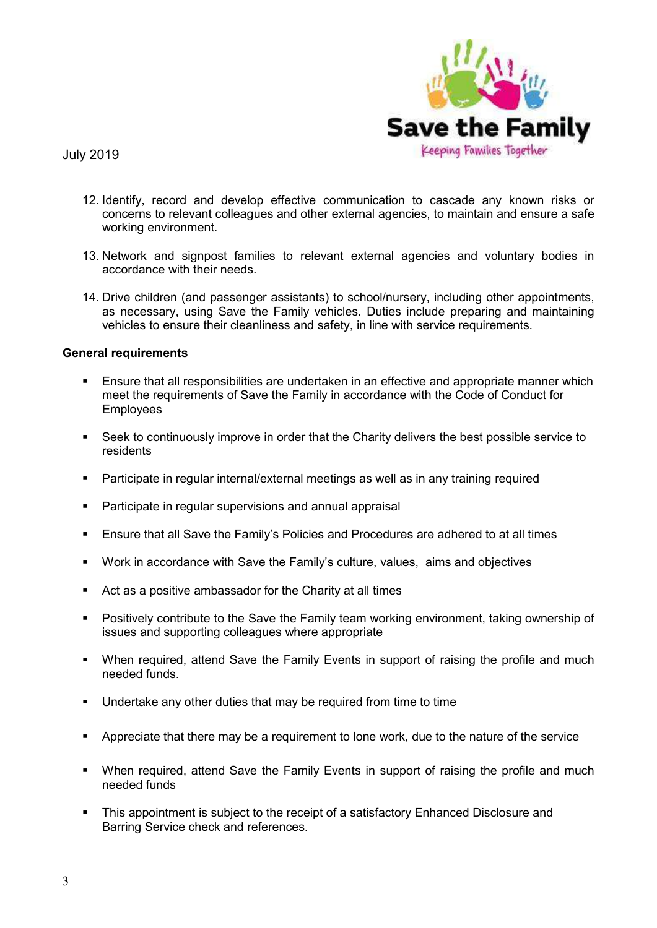

- 12. Identify, record and develop effective communication to cascade any known risks or concerns to relevant colleagues and other external agencies, to maintain and ensure a safe working environment.
- 13. Network and signpost families to relevant external agencies and voluntary bodies in accordance with their needs.
- 14. Drive children (and passenger assistants) to school/nursery, including other appointments, as necessary, using Save the Family vehicles. Duties include preparing and maintaining vehicles to ensure their cleanliness and safety, in line with service requirements.

#### General requirements

- Ensure that all responsibilities are undertaken in an effective and appropriate manner which meet the requirements of Save the Family in accordance with the Code of Conduct for Employees
- Seek to continuously improve in order that the Charity delivers the best possible service to residents
- Participate in regular internal/external meetings as well as in any training required
- Participate in regular supervisions and annual appraisal
- Ensure that all Save the Family's Policies and Procedures are adhered to at all times
- Work in accordance with Save the Family's culture, values, aims and objectives
- Act as a positive ambassador for the Charity at all times
- Positively contribute to the Save the Family team working environment, taking ownership of issues and supporting colleagues where appropriate
- When required, attend Save the Family Events in support of raising the profile and much needed funds.
- Undertake any other duties that may be required from time to time
- **Appreciate that there may be a requirement to lone work, due to the nature of the service**
- When required, attend Save the Family Events in support of raising the profile and much needed funds
- This appointment is subject to the receipt of a satisfactory Enhanced Disclosure and Barring Service check and references.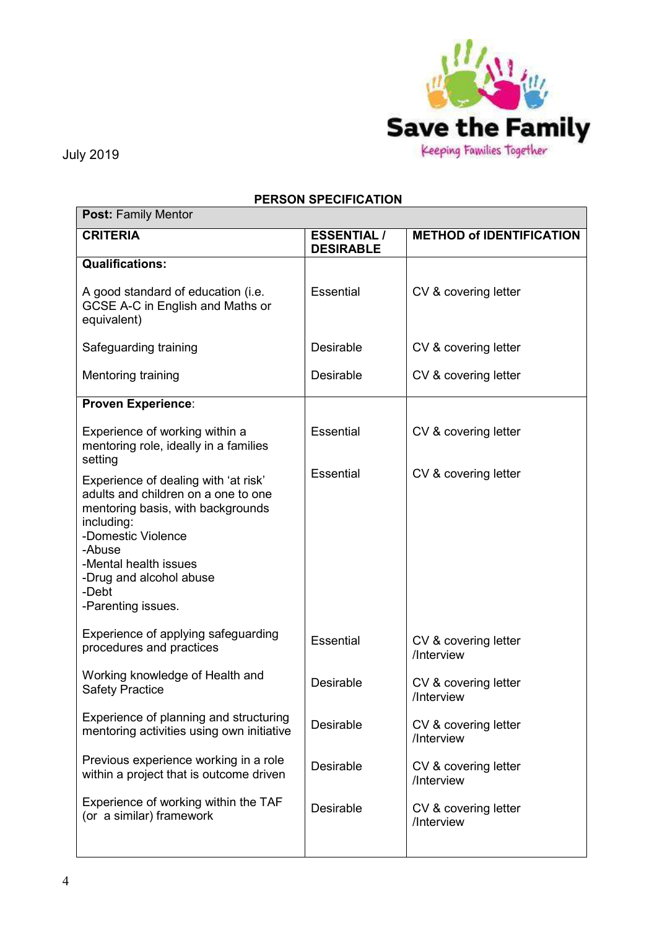

 $\overline{\phantom{a}}$ 

July 2019

# PERSON SPECIFICATION

| <b>Post: Family Mentor</b>                                                                                                                                                                                                                        |                                        |                                    |  |  |
|---------------------------------------------------------------------------------------------------------------------------------------------------------------------------------------------------------------------------------------------------|----------------------------------------|------------------------------------|--|--|
| <b>CRITERIA</b>                                                                                                                                                                                                                                   | <b>ESSENTIAL /</b><br><b>DESIRABLE</b> | <b>METHOD of IDENTIFICATION</b>    |  |  |
| <b>Qualifications:</b>                                                                                                                                                                                                                            |                                        |                                    |  |  |
| A good standard of education (i.e.<br>GCSE A-C in English and Maths or<br>equivalent)                                                                                                                                                             | <b>Essential</b>                       | CV & covering letter               |  |  |
| Safeguarding training                                                                                                                                                                                                                             | <b>Desirable</b>                       | CV & covering letter               |  |  |
| Mentoring training                                                                                                                                                                                                                                | Desirable                              | CV & covering letter               |  |  |
| <b>Proven Experience:</b>                                                                                                                                                                                                                         |                                        |                                    |  |  |
| Experience of working within a<br>mentoring role, ideally in a families<br>setting                                                                                                                                                                | Essential                              | CV & covering letter               |  |  |
| Experience of dealing with 'at risk'<br>adults and children on a one to one<br>mentoring basis, with backgrounds<br>including:<br>-Domestic Violence<br>-Abuse<br>-Mental health issues<br>-Drug and alcohol abuse<br>-Debt<br>-Parenting issues. | <b>Essential</b>                       | CV & covering letter               |  |  |
| Experience of applying safeguarding<br>procedures and practices                                                                                                                                                                                   | Essential                              | CV & covering letter<br>/Interview |  |  |
| Working knowledge of Health and<br><b>Safety Practice</b>                                                                                                                                                                                         | <b>Desirable</b>                       | CV & covering letter<br>/Interview |  |  |
| Experience of planning and structuring<br>mentoring activities using own initiative                                                                                                                                                               | Desirable                              | CV & covering letter<br>/Interview |  |  |
| Previous experience working in a role<br>within a project that is outcome driven                                                                                                                                                                  | Desirable                              | CV & covering letter<br>/Interview |  |  |
| Experience of working within the TAF<br>(or a similar) framework                                                                                                                                                                                  | <b>Desirable</b>                       | CV & covering letter<br>/Interview |  |  |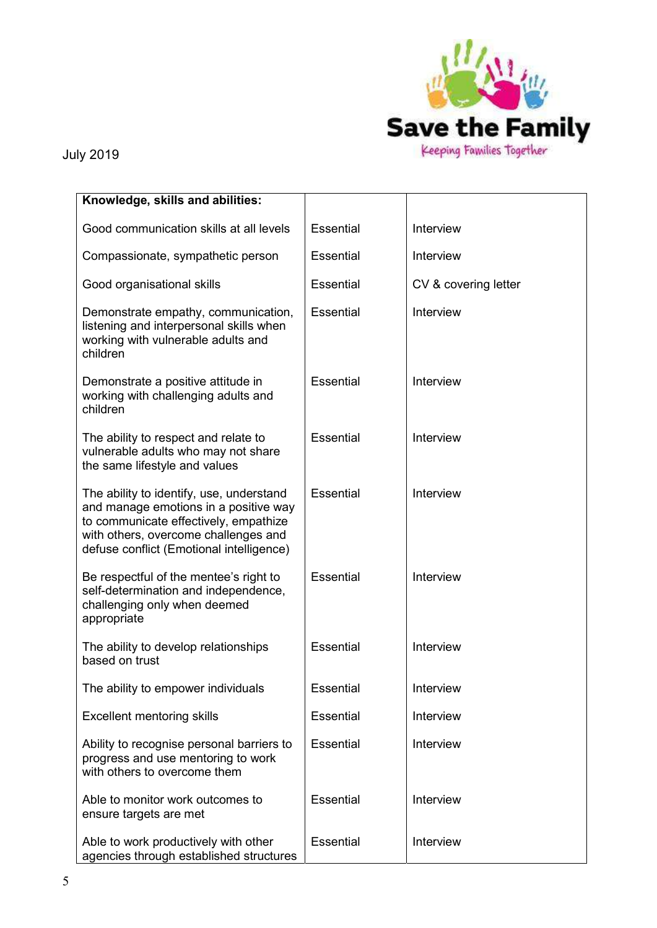

| Knowledge, skills and abilities:                                                                                                                                                                               |                  |                      |
|----------------------------------------------------------------------------------------------------------------------------------------------------------------------------------------------------------------|------------------|----------------------|
| Good communication skills at all levels                                                                                                                                                                        | Essential        | Interview            |
| Compassionate, sympathetic person                                                                                                                                                                              | Essential        | Interview            |
| Good organisational skills                                                                                                                                                                                     | <b>Essential</b> | CV & covering letter |
| Demonstrate empathy, communication,<br>listening and interpersonal skills when<br>working with vulnerable adults and<br>children                                                                               | <b>Essential</b> | Interview            |
| Demonstrate a positive attitude in<br>working with challenging adults and<br>children                                                                                                                          | <b>Essential</b> | Interview            |
| The ability to respect and relate to<br>vulnerable adults who may not share<br>the same lifestyle and values                                                                                                   | <b>Essential</b> | Interview            |
| The ability to identify, use, understand<br>and manage emotions in a positive way<br>to communicate effectively, empathize<br>with others, overcome challenges and<br>defuse conflict (Emotional intelligence) | <b>Essential</b> | Interview            |
| Be respectful of the mentee's right to<br>self-determination and independence,<br>challenging only when deemed<br>appropriate                                                                                  | <b>Essential</b> | Interview            |
| The ability to develop relationships<br>based on trust                                                                                                                                                         | <b>Essential</b> | Interview            |
| The ability to empower individuals                                                                                                                                                                             | <b>Essential</b> | Interview            |
| <b>Excellent mentoring skills</b>                                                                                                                                                                              | <b>Essential</b> | Interview            |
| Ability to recognise personal barriers to<br>progress and use mentoring to work<br>with others to overcome them                                                                                                | <b>Essential</b> | Interview            |
| Able to monitor work outcomes to<br>ensure targets are met                                                                                                                                                     | <b>Essential</b> | Interview            |
| Able to work productively with other<br>agencies through established structures                                                                                                                                | <b>Essential</b> | Interview            |